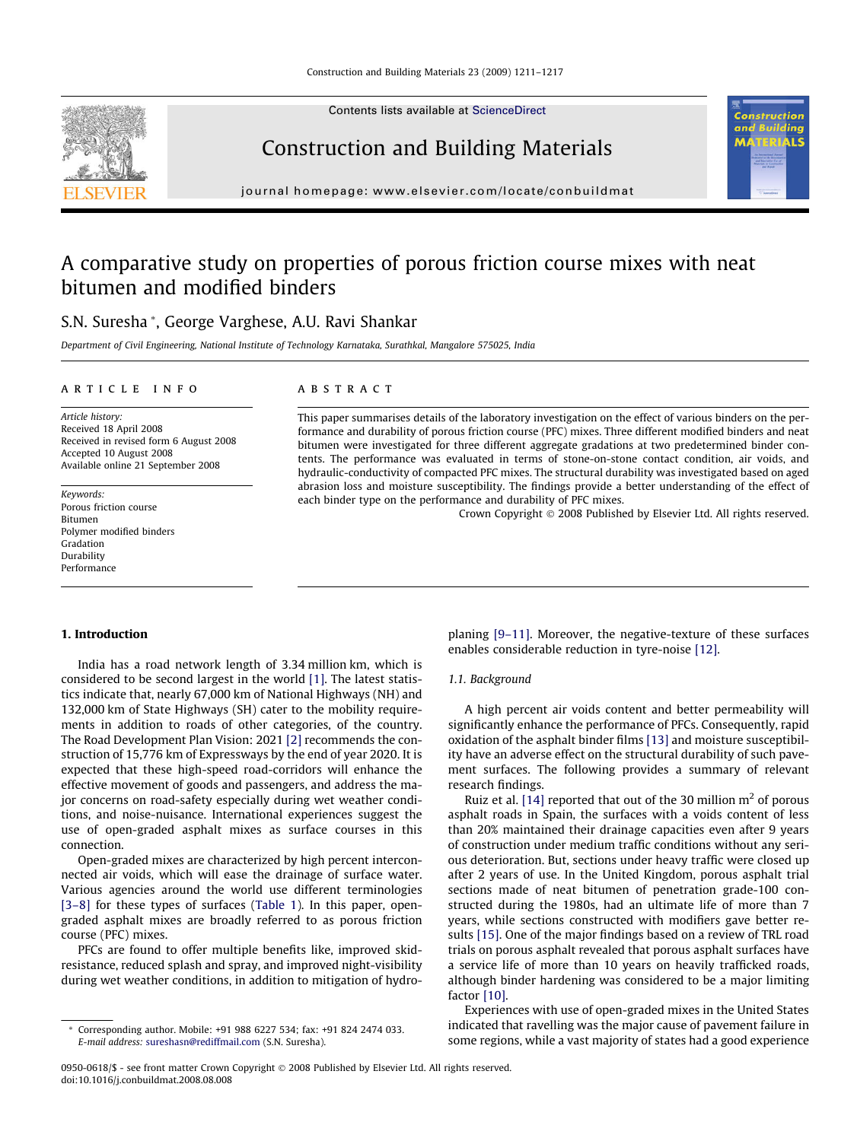Contents lists available at [ScienceDirect](http://www.sciencedirect.com/science/journal/09500618)

# Construction and Building Materials

journal homepage: [www.elsevier.com/locate/conbuildmat](http://www.elsevier.com/locate/conbuildmat)

# A comparative study on properties of porous friction course mixes with neat bitumen and modified binders

# S.N. Suresha \*, George Varghese, A.U. Ravi Shankar

Department of Civil Engineering, National Institute of Technology Karnataka, Surathkal, Mangalore 575025, India

#### article info

Article history: Received 18 April 2008 Received in revised form 6 August 2008 Accepted 10 August 2008 Available online 21 September 2008

Keywords: Porous friction course Bitumen Polymer modified binders Gradation Durability Performance

## **ABSTRACT**

This paper summarises details of the laboratory investigation on the effect of various binders on the performance and durability of porous friction course (PFC) mixes. Three different modified binders and neat bitumen were investigated for three different aggregate gradations at two predetermined binder contents. The performance was evaluated in terms of stone-on-stone contact condition, air voids, and hydraulic-conductivity of compacted PFC mixes. The structural durability was investigated based on aged abrasion loss and moisture susceptibility. The findings provide a better understanding of the effect of each binder type on the performance and durability of PFC mixes.

Crown Copyright © 2008 Published by Elsevier Ltd. All rights reserved.

ΠŚ

#### 1. Introduction

India has a road network length of 3.34 million km, which is considered to be second largest in the world [\[1\].](#page-6-0) The latest statistics indicate that, nearly 67,000 km of National Highways (NH) and 132,000 km of State Highways (SH) cater to the mobility requirements in addition to roads of other categories, of the country. The Road Development Plan Vision: 2021 [\[2\]](#page-6-0) recommends the construction of 15,776 km of Expressways by the end of year 2020. It is expected that these high-speed road-corridors will enhance the effective movement of goods and passengers, and address the major concerns on road-safety especially during wet weather conditions, and noise-nuisance. International experiences suggest the use of open-graded asphalt mixes as surface courses in this connection.

Open-graded mixes are characterized by high percent interconnected air voids, which will ease the drainage of surface water. Various agencies around the world use different terminologies [\[3–8\]](#page-6-0) for these types of surfaces ([Table 1\)](#page-1-0). In this paper, opengraded asphalt mixes are broadly referred to as porous friction course (PFC) mixes.

PFCs are found to offer multiple benefits like, improved skidresistance, reduced splash and spray, and improved night-visibility during wet weather conditions, in addition to mitigation of hydroplaning [\[9–11\]](#page-6-0). Moreover, the negative-texture of these surfaces enables considerable reduction in tyre-noise [\[12\].](#page-6-0)

#### 1.1. Background

A high percent air voids content and better permeability will significantly enhance the performance of PFCs. Consequently, rapid oxidation of the asphalt binder films [\[13\]](#page-6-0) and moisture susceptibility have an adverse effect on the structural durability of such pavement surfaces. The following provides a summary of relevant research findings.

Ruiz et al. [\[14\]](#page-6-0) reported that out of the 30 million  $m<sup>2</sup>$  of porous asphalt roads in Spain, the surfaces with a voids content of less than 20% maintained their drainage capacities even after 9 years of construction under medium traffic conditions without any serious deterioration. But, sections under heavy traffic were closed up after 2 years of use. In the United Kingdom, porous asphalt trial sections made of neat bitumen of penetration grade-100 constructed during the 1980s, had an ultimate life of more than 7 years, while sections constructed with modifiers gave better results [\[15\]](#page-6-0). One of the major findings based on a review of TRL road trials on porous asphalt revealed that porous asphalt surfaces have a service life of more than 10 years on heavily trafficked roads, although binder hardening was considered to be a major limiting factor [\[10\]](#page-6-0).

Experiences with use of open-graded mixes in the United States indicated that ravelling was the major cause of pavement failure in some regions, while a vast majority of states had a good experience

Corresponding author. Mobile: +91 988 6227 534; fax: +91 824 2474 033. E-mail address: [sureshasn@rediffmail.com](mailto:sureshasn@rediffmail.com) (S.N. Suresha).

<sup>0950-0618/\$ -</sup> see front matter Crown Copyright © 2008 Published by Elsevier Ltd. All rights reserved. doi:10.1016/j.conbuildmat.2008.08.008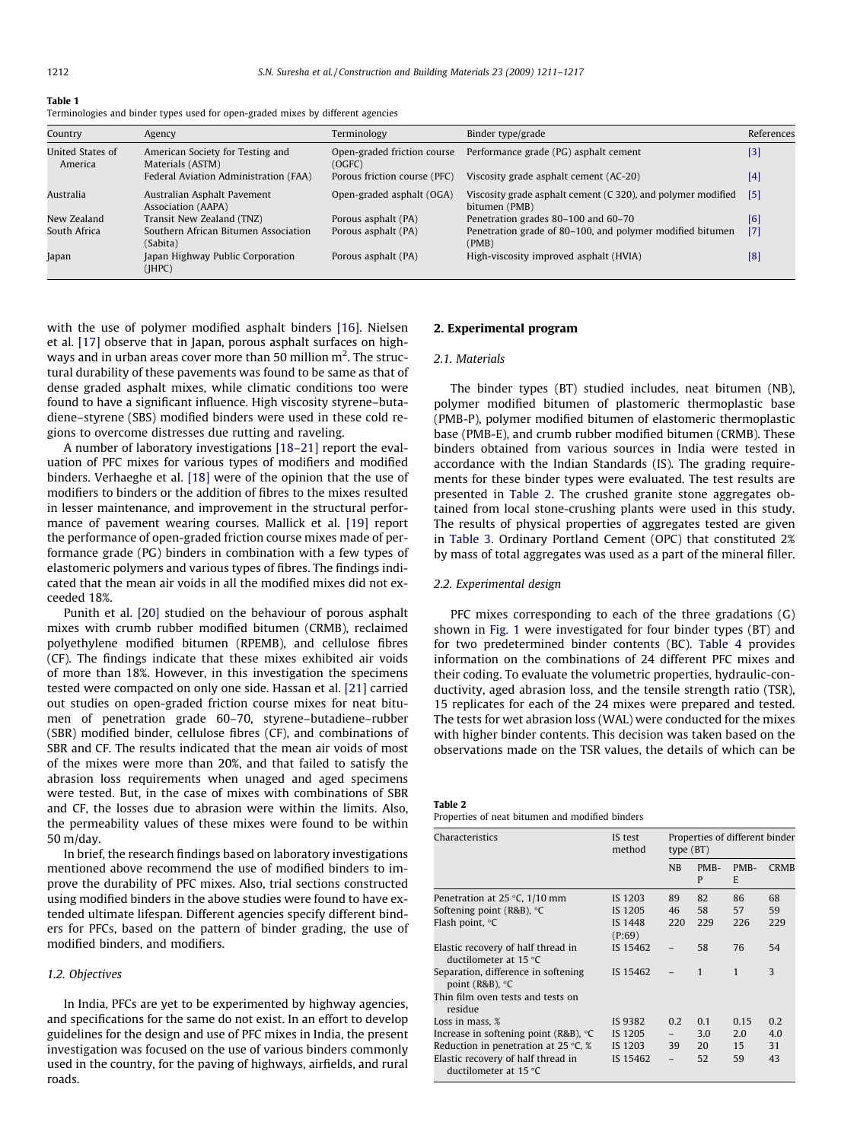<span id="page-1-0"></span>

| $\sim$<br>$\sim$<br>. . |  |
|-------------------------|--|
|-------------------------|--|

| Terminologies and binder types used for open-graded mixes by different agencies |  |  |
|---------------------------------------------------------------------------------|--|--|
|                                                                                 |  |  |

| Country                     | Agency                                               | Terminology                           | Binder type/grade                                                             | References |
|-----------------------------|------------------------------------------------------|---------------------------------------|-------------------------------------------------------------------------------|------------|
| United States of<br>America | American Society for Testing and<br>Materials (ASTM) | Open-graded friction course<br>(OGFC) | Performance grade (PG) asphalt cement                                         | $[3]$      |
|                             | Federal Aviation Administration (FAA)                | Porous friction course (PFC)          | Viscosity grade asphalt cement (AC-20)                                        | [4]        |
| Australia                   | Australian Asphalt Pavement<br>Association (AAPA)    | Open-graded asphalt (OGA)             | Viscosity grade asphalt cement (C 320), and polymer modified<br>bitumen (PMB) | [5]        |
| New Zealand                 | Transit New Zealand (TNZ)                            | Porous asphalt (PA)                   | Penetration grades 80–100 and 60–70                                           | [6]        |
| South Africa                | Southern African Bitumen Association<br>(Sabita)     | Porous asphalt (PA)                   | Penetration grade of 80–100, and polymer modified bitumen<br>(PMB)            | $[7]$      |
| Japan                       | Japan Highway Public Corporation<br>(IHPC)           | Porous asphalt (PA)                   | High-viscosity improved asphalt (HVIA)                                        | [8]        |

with the use of polymer modified asphalt binders [\[16\].](#page-6-0) Nielsen et al. [\[17\]](#page-6-0) observe that in Japan, porous asphalt surfaces on highways and in urban areas cover more than 50 million  $\mathrm{m}^2.$  The structural durability of these pavements was found to be same as that of dense graded asphalt mixes, while climatic conditions too were found to have a significant influence. High viscosity styrene–butadiene–styrene (SBS) modified binders were used in these cold regions to overcome distresses due rutting and raveling.

A number of laboratory investigations [\[18–21\]](#page-6-0) report the evaluation of PFC mixes for various types of modifiers and modified binders. Verhaeghe et al. [\[18\]](#page-6-0) were of the opinion that the use of modifiers to binders or the addition of fibres to the mixes resulted in lesser maintenance, and improvement in the structural performance of pavement wearing courses. Mallick et al. [\[19\]](#page-6-0) report the performance of open-graded friction course mixes made of performance grade (PG) binders in combination with a few types of elastomeric polymers and various types of fibres. The findings indicated that the mean air voids in all the modified mixes did not exceeded 18%.

Punith et al. [\[20\]](#page-6-0) studied on the behaviour of porous asphalt mixes with crumb rubber modified bitumen (CRMB), reclaimed polyethylene modified bitumen (RPEMB), and cellulose fibres (CF). The findings indicate that these mixes exhibited air voids of more than 18%. However, in this investigation the specimens tested were compacted on only one side. Hassan et al. [\[21\]](#page-6-0) carried out studies on open-graded friction course mixes for neat bitumen of penetration grade 60–70, styrene–butadiene–rubber (SBR) modified binder, cellulose fibres (CF), and combinations of SBR and CF. The results indicated that the mean air voids of most of the mixes were more than 20%, and that failed to satisfy the abrasion loss requirements when unaged and aged specimens were tested. But, in the case of mixes with combinations of SBR and CF, the losses due to abrasion were within the limits. Also, the permeability values of these mixes were found to be within 50 m/day.

In brief, the research findings based on laboratory investigations mentioned above recommend the use of modified binders to improve the durability of PFC mixes. Also, trial sections constructed using modified binders in the above studies were found to have extended ultimate lifespan. Different agencies specify different binders for PFCs, based on the pattern of binder grading, the use of modified binders, and modifiers.

# 1.2. Objectives

In India, PFCs are yet to be experimented by highway agencies, and specifications for the same do not exist. In an effort to develop guidelines for the design and use of PFC mixes in India, the present investigation was focused on the use of various binders commonly used in the country, for the paving of highways, airfields, and rural roads.

#### 2. Experimental program

#### 2.1. Materials

The binder types (BT) studied includes, neat bitumen (NB), polymer modified bitumen of plastomeric thermoplastic base (PMB-P), polymer modified bitumen of elastomeric thermoplastic base (PMB-E), and crumb rubber modified bitumen (CRMB). These binders obtained from various sources in India were tested in accordance with the Indian Standards (IS). The grading requirements for these binder types were evaluated. The test results are presented in Table 2. The crushed granite stone aggregates obtained from local stone-crushing plants were used in this study. The results of physical properties of aggregates tested are given in [Table 3](#page-2-0). Ordinary Portland Cement (OPC) that constituted 2% by mass of total aggregates was used as a part of the mineral filler.

#### 2.2. Experimental design

PFC mixes corresponding to each of the three gradations (G) shown in [Fig. 1](#page-2-0) were investigated for four binder types (BT) and for two predetermined binder contents (BC). [Table 4](#page-2-0) provides information on the combinations of 24 different PFC mixes and their coding. To evaluate the volumetric properties, hydraulic-conductivity, aged abrasion loss, and the tensile strength ratio (TSR), 15 replicates for each of the 24 mixes were prepared and tested. The tests for wet abrasion loss (WAL) were conducted for the mixes with higher binder contents. This decision was taken based on the observations made on the TSR values, the details of which can be

#### Table 2

Properties of neat bitumen and modified binders

| Characteristics                                               | IS test<br>method | Properties of different binder<br>type $(BT)$ |           |              |              |
|---------------------------------------------------------------|-------------------|-----------------------------------------------|-----------|--------------|--------------|
|                                                               |                   | NB                                            | PMB-<br>P | PMB-<br>E    | <b>CRMB</b>  |
| Penetration at 25 $\degree$ C, 1/10 mm                        | IS 1203           | 89                                            | 82        | 86           | 68           |
| Softening point ( $R&B$ ), $°C$                               | IS 1205           | 46                                            | 58        | 57           | 59           |
| Flash point, °C                                               | IS 1448<br>(P:69) | 220                                           | 229       | 226          | 229          |
| Elastic recovery of half thread in<br>ductilometer at $15 °C$ | IS 15462          |                                               | 58        | 76           | 54           |
| Separation, difference in softening<br>point ( $R&B$ ), $°C$  | IS 15462          |                                               | 1         | $\mathbf{1}$ | $\mathbf{3}$ |
| Thin film oven tests and tests on<br>residue                  |                   |                                               |           |              |              |
| Loss in mass. %                                               | IS 9382           | 0.2                                           | 0.1       | 0.15         | 0.2          |
| Increase in softening point ( $R&B$ ), $°C$                   | IS 1205           | $\overline{\phantom{0}}$                      | 3.0       | 2.0          | 4.0          |
| Reduction in penetration at 25 $\degree$ C, %                 | IS 1203           | 39                                            | <b>20</b> | 15           | 31           |
| Elastic recovery of half thread in<br>ductilometer at $15 °C$ | IS 15462          |                                               | 52        | 59           | 43           |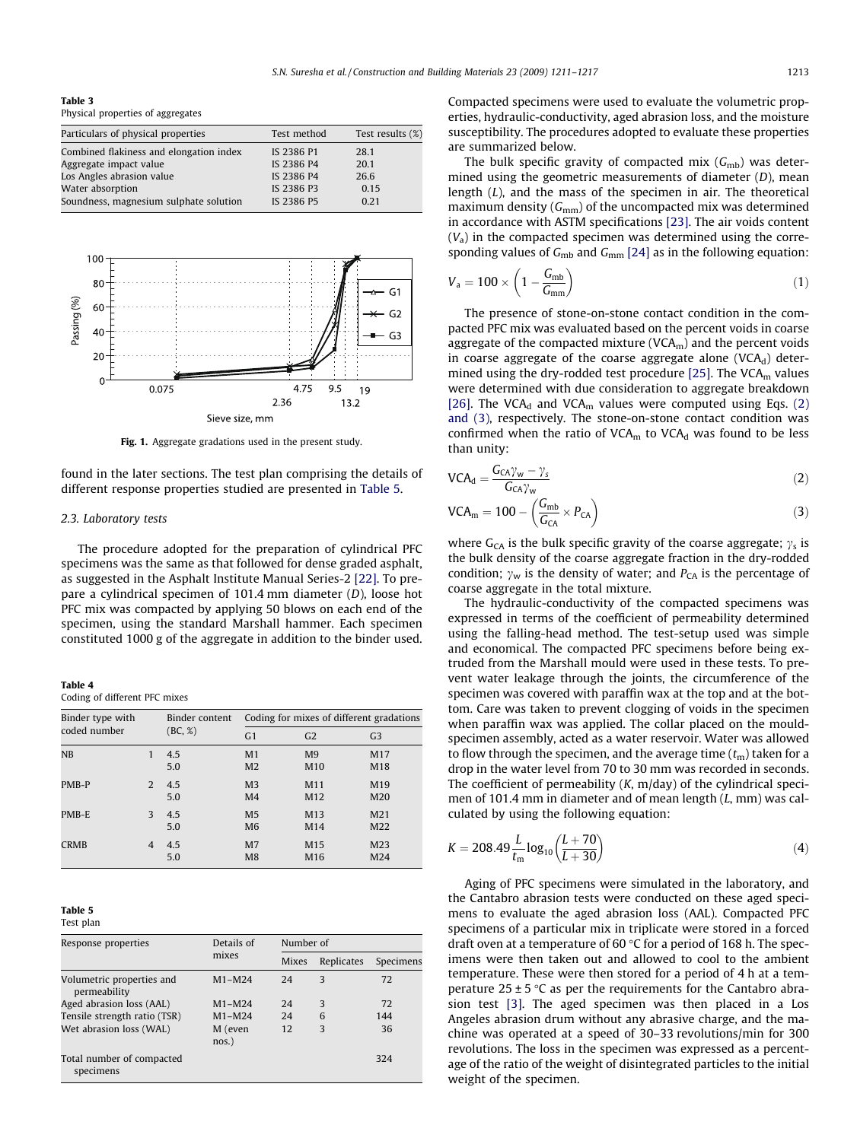<span id="page-2-0"></span>Table 3 Physical properties of aggregates

| Particulars of physical properties      | Test method | Test results (%) |
|-----------------------------------------|-------------|------------------|
| Combined flakiness and elongation index | IS 2386 P1  | 28.1             |
| Aggregate impact value                  | IS 2386 P4  | 20.1             |
| Los Angles abrasion value               | IS 2386 P4  | 26.6             |
| Water absorption                        | IS 2386 P3  | 0.15             |
| Soundness, magnesium sulphate solution  | IS 2386 P5  | 0.21             |



Fig. 1. Aggregate gradations used in the present study.

found in the later sections. The test plan comprising the details of different response properties studied are presented in Table 5.

### 2.3. Laboratory tests

The procedure adopted for the preparation of cylindrical PFC specimens was the same as that followed for dense graded asphalt, as suggested in the Asphalt Institute Manual Series-2 [\[22\].](#page-6-0) To prepare a cylindrical specimen of 101.4 mm diameter (D), loose hot PFC mix was compacted by applying 50 blows on each end of the specimen, using the standard Marshall hammer. Each specimen constituted 1000 g of the aggregate in addition to the binder used.

Table 4

Coding of different PFC mixes

| Binder type with |   | Binder content<br>(BC, %) | Coding for mixes of different gradations |                                   |                                    |
|------------------|---|---------------------------|------------------------------------------|-----------------------------------|------------------------------------|
| coded number     |   |                           | G <sub>1</sub>                           | G <sub>2</sub>                    | G <sub>3</sub>                     |
| NB               | 1 | 4.5<br>5.0                | M <sub>1</sub><br>M <sub>2</sub>         | M <sub>9</sub><br>M <sub>10</sub> | M17<br>M18                         |
| PMB-P            | 2 | 4.5<br>5.0                | M <sub>3</sub><br>M <sub>4</sub>         | M11<br>M <sub>12</sub>            | M19<br>M <sub>20</sub>             |
| PMB-E            | 3 | 4.5<br>5.0                | M <sub>5</sub><br>M <sub>6</sub>         | M13<br>M14                        | M <sub>21</sub><br>M22             |
| <b>CRMB</b>      | 4 | 4.5<br>5.0                | M <sub>7</sub><br>M8                     | M15<br>M <sub>16</sub>            | M <sub>23</sub><br>M <sub>24</sub> |

#### Table 5

|  | nian |
|--|------|
|  |      |

| Response properties                       | Details of          |              | Number of  |           |  |  |
|-------------------------------------------|---------------------|--------------|------------|-----------|--|--|
|                                           | mixes               | <b>Mixes</b> | Replicates | Specimens |  |  |
| Volumetric properties and<br>permeability | $M1-M24$            | 24           | 3          | 72        |  |  |
| Aged abrasion loss (AAL)                  | $M1-M24$            | 24           | 3          | 72        |  |  |
| Tensile strength ratio (TSR)              | $M1-M24$            | 24           | 6          | 144       |  |  |
| Wet abrasion loss (WAL)                   | M (even<br>$nos.$ ) | 12           | 3          | 36        |  |  |
| Total number of compacted<br>specimens    |                     |              |            | 324       |  |  |

Compacted specimens were used to evaluate the volumetric properties, hydraulic-conductivity, aged abrasion loss, and the moisture susceptibility. The procedures adopted to evaluate these properties are summarized below.

The bulk specific gravity of compacted mix  $(G_{mb})$  was determined using the geometric measurements of diameter (D), mean length (L), and the mass of the specimen in air. The theoretical maximum density  $(G_{mm})$  of the uncompacted mix was determined in accordance with ASTM specifications [\[23\].](#page-6-0) The air voids content  $(V_a)$  in the compacted specimen was determined using the corresponding values of  $G<sub>mb</sub>$  and  $G<sub>mm</sub>$  [\[24\]](#page-6-0) as in the following equation:

$$
V_a = 100 \times \left(1 - \frac{G_{\rm mb}}{G_{\rm mm}}\right) \tag{1}
$$

The presence of stone-on-stone contact condition in the compacted PFC mix was evaluated based on the percent voids in coarse aggregate of the compacted mixture ( $VCA<sub>m</sub>$ ) and the percent voids in coarse aggregate of the coarse aggregate alone (VCA $_d$ ) deter-mined using the dry-rodded test procedure [\[25\].](#page-6-0) The VCA $<sub>m</sub>$  values</sub> were determined with due consideration to aggregate breakdown [\[26\]](#page-6-0). The VCA<sub>d</sub> and VCA<sub>m</sub> values were computed using Eqs. (2) and (3), respectively. The stone-on-stone contact condition was confirmed when the ratio of  $VCA<sub>m</sub>$  to  $VCA<sub>d</sub>$  was found to be less than unity:

$$
VCA_{d} = \frac{G_{CA}\gamma_{w} - \gamma_{s}}{G_{CA}\gamma_{w}}
$$
 (2)

$$
VCA_m = 100 - \left(\frac{G_{mb}}{G_{CA}} \times P_{CA}\right)
$$
 (3)

where G<sub>CA</sub> is the bulk specific gravity of the coarse aggregate;  $\gamma_s$  is the bulk density of the coarse aggregate fraction in the dry-rodded condition;  $\gamma_w$  is the density of water; and  $P_{CA}$  is the percentage of coarse aggregate in the total mixture.

The hydraulic-conductivity of the compacted specimens was expressed in terms of the coefficient of permeability determined using the falling-head method. The test-setup used was simple and economical. The compacted PFC specimens before being extruded from the Marshall mould were used in these tests. To prevent water leakage through the joints, the circumference of the specimen was covered with paraffin wax at the top and at the bottom. Care was taken to prevent clogging of voids in the specimen when paraffin wax was applied. The collar placed on the mouldspecimen assembly, acted as a water reservoir. Water was allowed to flow through the specimen, and the average time  $(t<sub>m</sub>)$  taken for a drop in the water level from 70 to 30 mm was recorded in seconds. The coefficient of permeability  $(K, m/day)$  of the cylindrical specimen of 101.4 mm in diameter and of mean length (L, mm) was calculated by using the following equation:

$$
K = 208.49 \frac{L}{t_{\rm m}} \log_{10} \left( \frac{L + 70}{L + 30} \right) \tag{4}
$$

Aging of PFC specimens were simulated in the laboratory, and the Cantabro abrasion tests were conducted on these aged specimens to evaluate the aged abrasion loss (AAL). Compacted PFC specimens of a particular mix in triplicate were stored in a forced draft oven at a temperature of 60  $\degree$ C for a period of 168 h. The specimens were then taken out and allowed to cool to the ambient temperature. These were then stored for a period of 4 h at a temperature  $25 \pm 5$  °C as per the requirements for the Cantabro abrasion test [\[3\].](#page-6-0) The aged specimen was then placed in a Los Angeles abrasion drum without any abrasive charge, and the machine was operated at a speed of 30–33 revolutions/min for 300 revolutions. The loss in the specimen was expressed as a percentage of the ratio of the weight of disintegrated particles to the initial weight of the specimen.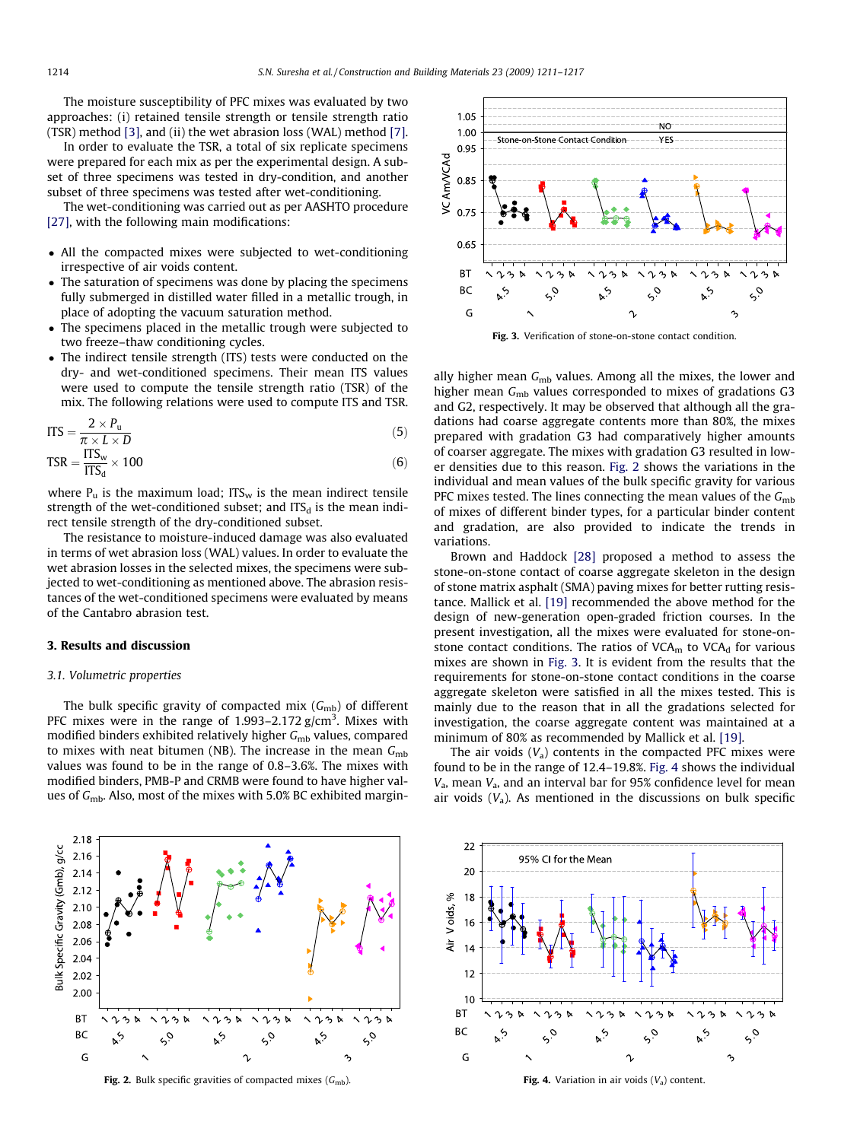The moisture susceptibility of PFC mixes was evaluated by two approaches: (i) retained tensile strength or tensile strength ratio (TSR) method [\[3\]](#page-6-0), and (ii) the wet abrasion loss (WAL) method [\[7\].](#page-6-0)

In order to evaluate the TSR, a total of six replicate specimens were prepared for each mix as per the experimental design. A subset of three specimens was tested in dry-condition, and another subset of three specimens was tested after wet-conditioning.

The wet-conditioning was carried out as per AASHTO procedure [\[27\]](#page-6-0), with the following main modifications:

- All the compacted mixes were subjected to wet-conditioning irrespective of air voids content.
- The saturation of specimens was done by placing the specimens fully submerged in distilled water filled in a metallic trough, in place of adopting the vacuum saturation method.
- The specimens placed in the metallic trough were subjected to two freeze–thaw conditioning cycles.
- The indirect tensile strength (ITS) tests were conducted on the dry- and wet-conditioned specimens. Their mean ITS values were used to compute the tensile strength ratio (TSR) of the mix. The following relations were used to compute ITS and TSR.

$$
ITS = \frac{2 \times P_u}{\pi \times L \times D}
$$
 (5)

$$
TSR = \frac{ITS_w}{ITS_d} \times 100
$$
 (6)

where  $P_u$  is the maximum load; ITS<sub>w</sub> is the mean indirect tensile strength of the wet-conditioned subset; and  $ITS_d$  is the mean indirect tensile strength of the dry-conditioned subset.

The resistance to moisture-induced damage was also evaluated in terms of wet abrasion loss (WAL) values. In order to evaluate the wet abrasion losses in the selected mixes, the specimens were subjected to wet-conditioning as mentioned above. The abrasion resistances of the wet-conditioned specimens were evaluated by means of the Cantabro abrasion test.

# 3. Results and discussion

#### 3.1. Volumetric properties

The bulk specific gravity of compacted mix  $(G_{mb})$  of different PFC mixes were in the range of 1.993–2.172  $g/cm<sup>3</sup>$ . Mixes with modified binders exhibited relatively higher  $G<sub>mb</sub>$  values, compared to mixes with neat bitumen (NB). The increase in the mean  $G<sub>mb</sub>$ values was found to be in the range of 0.8–3.6%. The mixes with modified binders, PMB-P and CRMB were found to have higher values of  $G<sub>mb</sub>$ . Also, most of the mixes with 5.0% BC exhibited margin-







Fig. 3. Verification of stone-on-stone contact condition.

ally higher mean  $G<sub>mb</sub>$  values. Among all the mixes, the lower and higher mean  $G<sub>mb</sub>$  values corresponded to mixes of gradations G3 and G2, respectively. It may be observed that although all the gradations had coarse aggregate contents more than 80%, the mixes prepared with gradation G3 had comparatively higher amounts of coarser aggregate. The mixes with gradation G3 resulted in lower densities due to this reason. Fig. 2 shows the variations in the individual and mean values of the bulk specific gravity for various PFC mixes tested. The lines connecting the mean values of the  $G<sub>mb</sub>$ of mixes of different binder types, for a particular binder content and gradation, are also provided to indicate the trends in variations.

Brown and Haddock [\[28\]](#page-6-0) proposed a method to assess the stone-on-stone contact of coarse aggregate skeleton in the design of stone matrix asphalt (SMA) paving mixes for better rutting resistance. Mallick et al. [\[19\]](#page-6-0) recommended the above method for the design of new-generation open-graded friction courses. In the present investigation, all the mixes were evaluated for stone-onstone contact conditions. The ratios of  $VCA<sub>m</sub>$  to  $VCA<sub>d</sub>$  for various mixes are shown in Fig. 3. It is evident from the results that the requirements for stone-on-stone contact conditions in the coarse aggregate skeleton were satisfied in all the mixes tested. This is mainly due to the reason that in all the gradations selected for investigation, the coarse aggregate content was maintained at a minimum of 80% as recommended by Mallick et al. [\[19\].](#page-6-0)

The air voids  $(V_a)$  contents in the compacted PFC mixes were found to be in the range of 12.4–19.8%. Fig. 4 shows the individual  $V<sub>a</sub>$ , mean  $V<sub>a</sub>$ , and an interval bar for 95% confidence level for mean air voids  $(V_a)$ . As mentioned in the discussions on bulk specific



Fig. 4. Variation in air voids  $(V_a)$  content.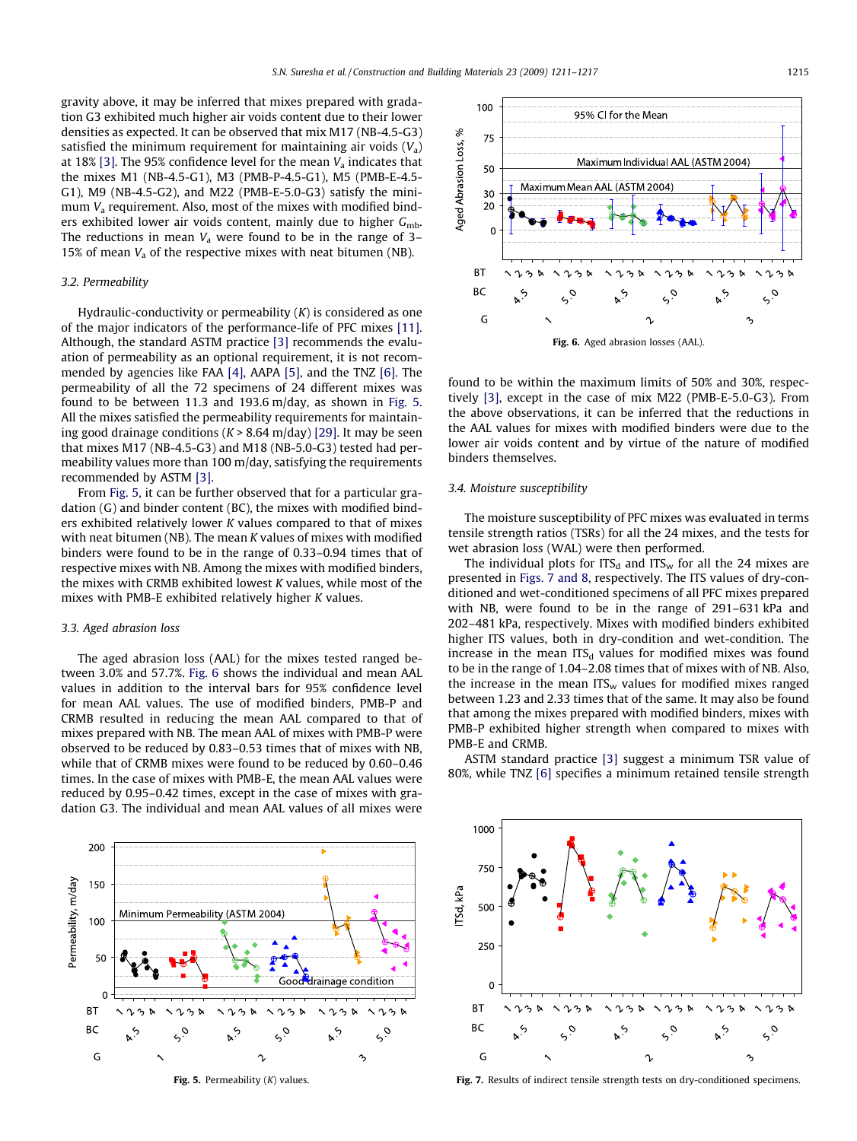<span id="page-4-0"></span>gravity above, it may be inferred that mixes prepared with gradation G3 exhibited much higher air voids content due to their lower densities as expected. It can be observed that mix M17 (NB-4.5-G3) satisfied the minimum requirement for maintaining air voids  $(V_a)$ at 18% [\[3\].](#page-6-0) The 95% confidence level for the mean  $V_a$  indicates that the mixes M1 (NB-4.5-G1), M3 (PMB-P-4.5-G1), M5 (PMB-E-4.5- G1), M9 (NB-4.5-G2), and M22 (PMB-E-5.0-G3) satisfy the minimum  $V_a$  requirement. Also, most of the mixes with modified binders exhibited lower air voids content, mainly due to higher  $G<sub>mb</sub>$ . The reductions in mean  $V_a$  were found to be in the range of 3– 15% of mean  $V_a$  of the respective mixes with neat bitumen (NB).

# 3.2. Permeability

Hydraulic-conductivity or permeability  $(K)$  is considered as one of the major indicators of the performance-life of PFC mixes [\[11\].](#page-6-0) Although, the standard ASTM practice [\[3\]](#page-6-0) recommends the evaluation of permeability as an optional requirement, it is not recommended by agencies like FAA [\[4\]](#page-6-0), AAPA [\[5\],](#page-6-0) and the TNZ [\[6\].](#page-6-0) The permeability of all the 72 specimens of 24 different mixes was found to be between 11.3 and 193.6 m/day, as shown in Fig. 5. All the mixes satisfied the permeability requirements for maintaining good drainage conditions  $(K > 8.64 \text{ m/day})$  [\[29\]](#page-6-0). It may be seen that mixes M17 (NB-4.5-G3) and M18 (NB-5.0-G3) tested had permeability values more than 100 m/day, satisfying the requirements recommended by ASTM [\[3\].](#page-6-0)

From Fig. 5, it can be further observed that for a particular gradation (G) and binder content (BC), the mixes with modified binders exhibited relatively lower K values compared to that of mixes with neat bitumen (NB). The mean K values of mixes with modified binders were found to be in the range of 0.33–0.94 times that of respective mixes with NB. Among the mixes with modified binders, the mixes with CRMB exhibited lowest K values, while most of the mixes with PMB-E exhibited relatively higher K values.

#### 3.3. Aged abrasion loss

The aged abrasion loss (AAL) for the mixes tested ranged between 3.0% and 57.7%. Fig. 6 shows the individual and mean AAL values in addition to the interval bars for 95% confidence level for mean AAL values. The use of modified binders, PMB-P and CRMB resulted in reducing the mean AAL compared to that of mixes prepared with NB. The mean AAL of mixes with PMB-P were observed to be reduced by 0.83–0.53 times that of mixes with NB, while that of CRMB mixes were found to be reduced by 0.60–0.46 times. In the case of mixes with PMB-E, the mean AAL values were reduced by 0.95–0.42 times, except in the case of mixes with gradation G3. The individual and mean AAL values of all mixes were



Fig. 5. Permeability  $(K)$  values.



found to be within the maximum limits of 50% and 30%, respectively [\[3\]](#page-6-0), except in the case of mix M22 (PMB-E-5.0-G3). From the above observations, it can be inferred that the reductions in the AAL values for mixes with modified binders were due to the lower air voids content and by virtue of the nature of modified binders themselves.

# 3.4. Moisture susceptibility

The moisture susceptibility of PFC mixes was evaluated in terms tensile strength ratios (TSRs) for all the 24 mixes, and the tests for wet abrasion loss (WAL) were then performed.

The individual plots for ITS<sub>d</sub> and ITS<sub>w</sub> for all the 24 mixes are presented in Figs. 7 and 8, respectively. The ITS values of dry-conditioned and wet-conditioned specimens of all PFC mixes prepared with NB, were found to be in the range of 291–631 kPa and 202–481 kPa, respectively. Mixes with modified binders exhibited higher ITS values, both in dry-condition and wet-condition. The increase in the mean  $ITS_d$  values for modified mixes was found to be in the range of 1.04–2.08 times that of mixes with of NB. Also, the increase in the mean  $ITS<sub>w</sub>$  values for modified mixes ranged between 1.23 and 2.33 times that of the same. It may also be found that among the mixes prepared with modified binders, mixes with PMB-P exhibited higher strength when compared to mixes with PMB-E and CRMB.

ASTM standard practice [\[3\]](#page-6-0) suggest a minimum TSR value of 80%, while TNZ [\[6\]](#page-6-0) specifies a minimum retained tensile strength



Fig. 7. Results of indirect tensile strength tests on dry-conditioned specimens.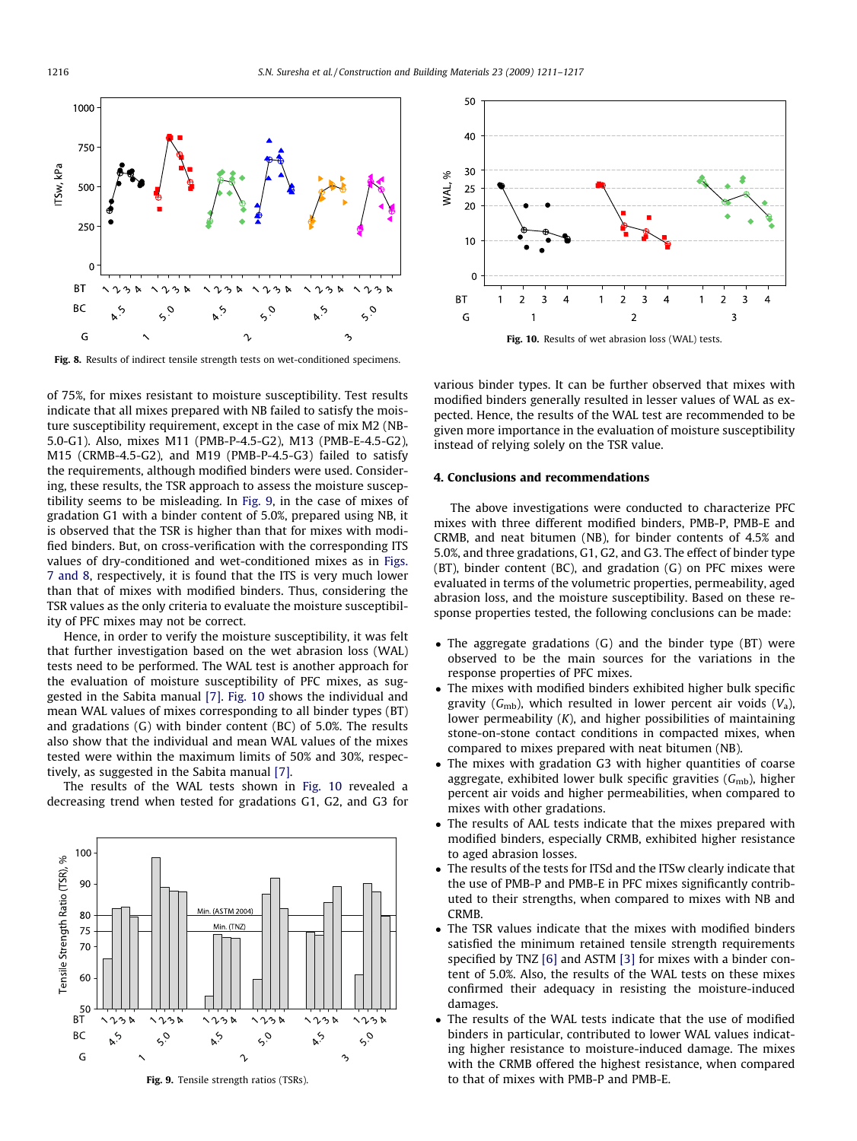



Fig. 8. Results of indirect tensile strength tests on wet-conditioned specimens.

of 75%, for mixes resistant to moisture susceptibility. Test results indicate that all mixes prepared with NB failed to satisfy the moisture susceptibility requirement, except in the case of mix M2 (NB-5.0-G1). Also, mixes M11 (PMB-P-4.5-G2), M13 (PMB-E-4.5-G2), M15 (CRMB-4.5-G2), and M19 (PMB-P-4.5-G3) failed to satisfy the requirements, although modified binders were used. Considering, these results, the TSR approach to assess the moisture susceptibility seems to be misleading. In Fig. 9, in the case of mixes of gradation G1 with a binder content of 5.0%, prepared using NB, it is observed that the TSR is higher than that for mixes with modified binders. But, on cross-verification with the corresponding ITS values of dry-conditioned and wet-conditioned mixes as in [Figs.](#page-4-0) [7 and 8](#page-4-0), respectively, it is found that the ITS is very much lower than that of mixes with modified binders. Thus, considering the TSR values as the only criteria to evaluate the moisture susceptibility of PFC mixes may not be correct.

Hence, in order to verify the moisture susceptibility, it was felt that further investigation based on the wet abrasion loss (WAL) tests need to be performed. The WAL test is another approach for the evaluation of moisture susceptibility of PFC mixes, as suggested in the Sabita manual [\[7\].](#page-6-0) Fig. 10 shows the individual and mean WAL values of mixes corresponding to all binder types (BT) and gradations (G) with binder content (BC) of 5.0%. The results also show that the individual and mean WAL values of the mixes tested were within the maximum limits of 50% and 30%, respectively, as suggested in the Sabita manual [\[7\].](#page-6-0)

The results of the WAL tests shown in Fig. 10 revealed a decreasing trend when tested for gradations G1, G2, and G3 for





various binder types. It can be further observed that mixes with modified binders generally resulted in lesser values of WAL as expected. Hence, the results of the WAL test are recommended to be given more importance in the evaluation of moisture susceptibility instead of relying solely on the TSR value.

#### 4. Conclusions and recommendations

The above investigations were conducted to characterize PFC mixes with three different modified binders, PMB-P, PMB-E and CRMB, and neat bitumen (NB), for binder contents of 4.5% and 5.0%, and three gradations, G1, G2, and G3. The effect of binder type (BT), binder content (BC), and gradation (G) on PFC mixes were evaluated in terms of the volumetric properties, permeability, aged abrasion loss, and the moisture susceptibility. Based on these response properties tested, the following conclusions can be made:

- The aggregate gradations (G) and the binder type (BT) were observed to be the main sources for the variations in the response properties of PFC mixes.
- The mixes with modified binders exhibited higher bulk specific gravity ( $G<sub>mb</sub>$ ), which resulted in lower percent air voids ( $V<sub>a</sub>$ ), lower permeability (K), and higher possibilities of maintaining stone-on-stone contact conditions in compacted mixes, when compared to mixes prepared with neat bitumen (NB).
- The mixes with gradation G3 with higher quantities of coarse aggregate, exhibited lower bulk specific gravities  $(G_{mb})$ , higher percent air voids and higher permeabilities, when compared to mixes with other gradations.
- The results of AAL tests indicate that the mixes prepared with modified binders, especially CRMB, exhibited higher resistance to aged abrasion losses.
- The results of the tests for ITSd and the ITSw clearly indicate that the use of PMB-P and PMB-E in PFC mixes significantly contributed to their strengths, when compared to mixes with NB and CRMB.
- The TSR values indicate that the mixes with modified binders satisfied the minimum retained tensile strength requirements specified by TNZ [\[6\]](#page-6-0) and ASTM [\[3\]](#page-6-0) for mixes with a binder content of 5.0%. Also, the results of the WAL tests on these mixes confirmed their adequacy in resisting the moisture-induced damages.
- The results of the WAL tests indicate that the use of modified binders in particular, contributed to lower WAL values indicating higher resistance to moisture-induced damage. The mixes with the CRMB offered the highest resistance, when compared to that of mixes with PMB-P and PMB-E.